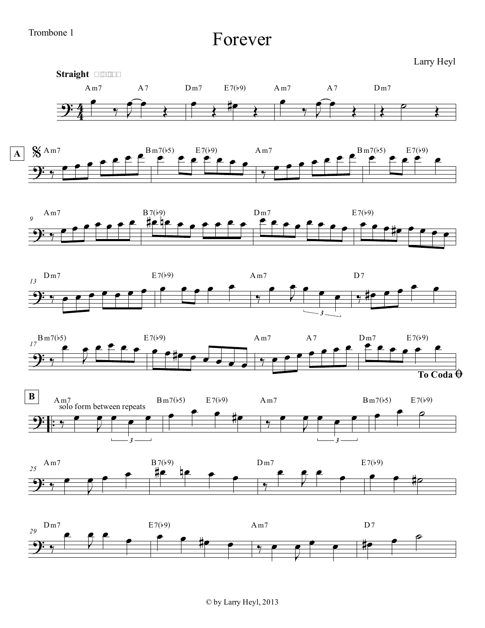## Trombone 1

Forever

Larry Heyl